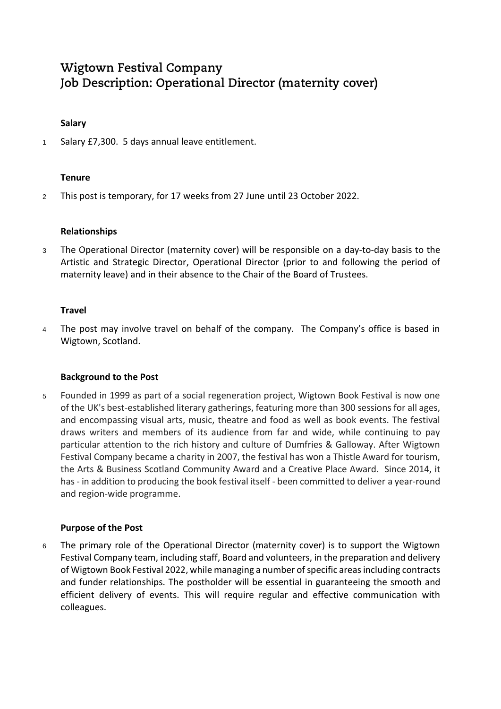# **Wigtown Festival Company Job Description: Operational Director (maternity cover)**

## **Salary**

1 Salary £7,300. 5 days annual leave entitlement.

## **Tenure**

<sup>2</sup> This post is temporary, for 17 weeks from 27 June until 23 October 2022.

## **Relationships**

<sup>3</sup> The Operational Director (maternity cover) will be responsible on a day-to-day basis to the Artistic and Strategic Director, Operational Director (prior to and following the period of maternity leave) and in their absence to the Chair of the Board of Trustees.

## **Travel**

4 The post may involve travel on behalf of the company. The Company's office is based in Wigtown, Scotland.

## **Background to the Post**

<sup>5</sup> Founded in 1999 as part of a social regeneration project, Wigtown Book Festival is now one of the UK's best-established literary gatherings, featuring more than 300 sessions for all ages, and encompassing visual arts, music, theatre and food as well as book events. The festival draws writers and members of its audience from far and wide, while continuing to pay particular attention to the rich history and culture of Dumfries & Galloway. After Wigtown Festival Company became a charity in 2007, the festival has won a Thistle Award for tourism, the Arts & Business Scotland Community Award and a Creative Place Award. Since 2014, it has - in addition to producing the book festival itself - been committed to deliver a year-round and region-wide programme.

## **Purpose of the Post**

<sup>6</sup> The primary role of the Operational Director (maternity cover) is to support the Wigtown Festival Company team, including staff, Board and volunteers, in the preparation and delivery of Wigtown Book Festival 2022, while managing a number of specific areas including contracts and funder relationships. The postholder will be essential in guaranteeing the smooth and efficient delivery of events. This will require regular and effective communication with colleagues.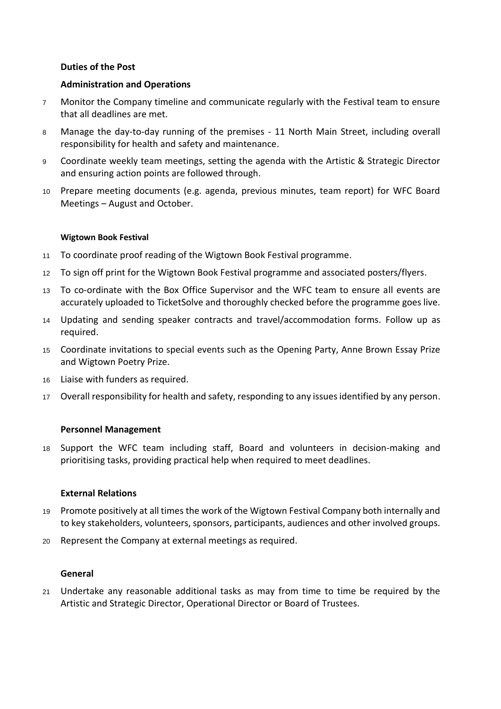## **Duties of the Post**

## **Administration and Operations**

- <sup>7</sup> Monitor the Company timeline and communicate regularly with the Festival team to ensure that all deadlines are met.
- <sup>8</sup> Manage the day-to-day running of the premises 11 North Main Street, including overall responsibility for health and safety and maintenance.
- <sup>9</sup> Coordinate weekly team meetings, setting the agenda with the Artistic & Strategic Director and ensuring action points are followed through.
- <sup>10</sup> Prepare meeting documents (e.g. agenda, previous minutes, team report) for WFC Board Meetings – August and October.

## **Wigtown Book Festival**

- <sup>11</sup> To coordinate proof reading of the Wigtown Book Festival programme.
- <sup>12</sup> To sign off print for the Wigtown Book Festival programme and associated posters/flyers.
- <sup>13</sup> To co-ordinate with the Box Office Supervisor and the WFC team to ensure all events are accurately uploaded to TicketSolve and thoroughly checked before the programme goes live.
- <sup>14</sup> Updating and sending speaker contracts and travel/accommodation forms. Follow up as required.
- <sup>15</sup> Coordinate invitations to special events such as the Opening Party, Anne Brown Essay Prize and Wigtown Poetry Prize.
- <sup>16</sup> Liaise with funders as required.
- <sup>17</sup> Overall responsibility for health and safety, responding to any issues identified by any person.

## **Personnel Management**

<sup>18</sup> Support the WFC team including staff, Board and volunteers in decision-making and prioritising tasks, providing practical help when required to meet deadlines.

## **External Relations**

- <sup>19</sup> Promote positively at all times the work of the Wigtown Festival Company both internally and to key stakeholders, volunteers, sponsors, participants, audiences and other involved groups.
- <sup>20</sup> Represent the Company at external meetings as required.

## **General**

<sup>21</sup> Undertake any reasonable additional tasks as may from time to time be required by the Artistic and Strategic Director, Operational Director or Board of Trustees.